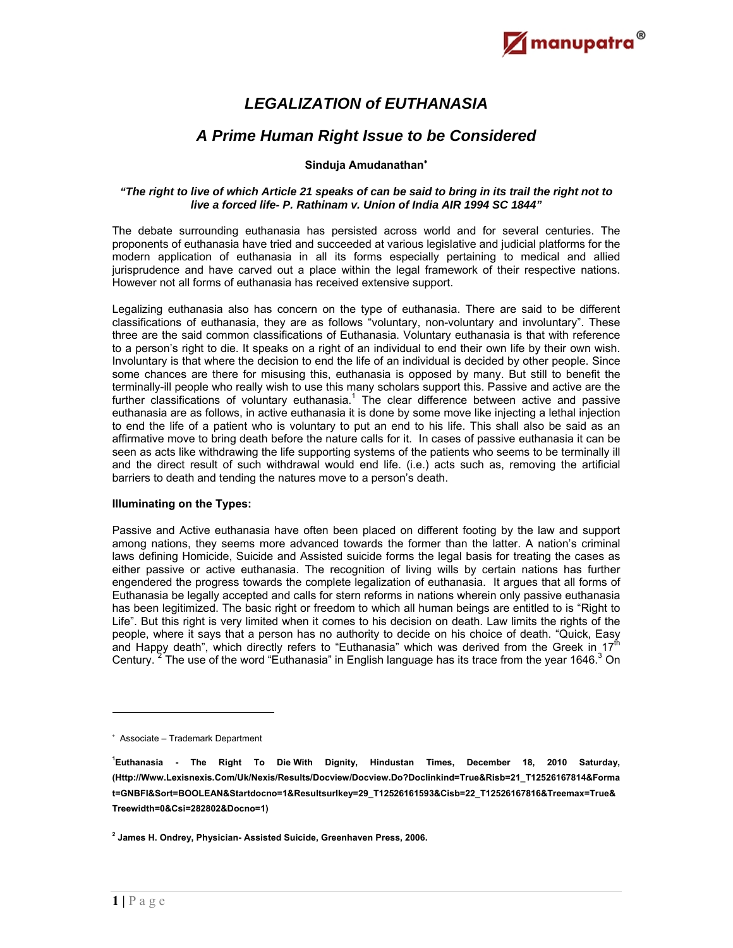

# *LEGALIZATION of EUTHANASIA*

# *A Prime Human Right Issue to be Considered*

## **Sinduja Amudanathan**

### *"The right to live of which Article 21 speaks of can be said to bring in its trail the right not to live a forced life- P. Rathinam v. Union of India AIR 1994 SC 1844"*

The debate surrounding euthanasia has persisted across world and for several centuries. The proponents of euthanasia have tried and succeeded at various legislative and judicial platforms for the modern application of euthanasia in all its forms especially pertaining to medical and allied jurisprudence and have carved out a place within the legal framework of their respective nations. However not all forms of euthanasia has received extensive support.

Legalizing euthanasia also has concern on the type of euthanasia. There are said to be different classifications of euthanasia, they are as follows "voluntary, non-voluntary and involuntary". These three are the said common classifications of Euthanasia. Voluntary euthanasia is that with reference to a person's right to die. It speaks on a right of an individual to end their own life by their own wish. Involuntary is that where the decision to end the life of an individual is decided by other people. Since some chances are there for misusing this, euthanasia is opposed by many. But still to benefit the terminally-ill people who really wish to use this many scholars support this. Passive and active are the further classifications of voluntary euthanasia.<sup>1</sup> The clear difference between active and passive euthanasia are as follows, in active euthanasia it is done by some move like injecting a lethal injection to end the life of a patient who is voluntary to put an end to his life. This shall also be said as an affirmative move to bring death before the nature calls for it. In cases of passive euthanasia it can be seen as acts like withdrawing the life supporting systems of the patients who seems to be terminally ill and the direct result of such withdrawal would end life. (i.e.) acts such as, removing the artificial barriers to death and tending the natures move to a person's death.

### **Illuminating on the Types:**

Passive and Active euthanasia have often been placed on different footing by the law and support among nations, they seems more advanced towards the former than the latter. A nation's criminal laws defining Homicide, Suicide and Assisted suicide forms the legal basis for treating the cases as either passive or active euthanasia. The recognition of living wills by certain nations has further engendered the progress towards the complete legalization of euthanasia. It argues that all forms of Euthanasia be legally accepted and calls for stern reforms in nations wherein only passive euthanasia has been legitimized. The basic right or freedom to which all human beings are entitled to is "Right to Life". But this right is very limited when it comes to his decision on death. Law limits the rights of the people, where it says that a person has no authority to decide on his choice of death. "Quick, Easy and Happy death", which directly refers to "Euthanasia" which was derived from the Greek in  $17<sup>th</sup>$ Century. <sup>2</sup> The use of the word "Euthanasia" in English language has its trace from the year 1646.<sup>3</sup> On

 Associate – Trademark Department

**<sup>1</sup> Euthanasia - The Right To Die With Dignity, Hindustan Times, December 18, 2010 Saturday, (Http://Www.Lexisnexis.Com/Uk/Nexis/Results/Docview/Docview.Do?Doclinkind=True&Risb=21\_T12526167814&Forma t=GNBFI&Sort=BOOLEAN&Startdocno=1&Resultsurlkey=29\_T12526161593&Cisb=22\_T12526167816&Treemax=True& Treewidth=0&Csi=282802&Docno=1)** 

**<sup>2</sup> James H. Ondrey, Physician- Assisted Suicide, Greenhaven Press, 2006.**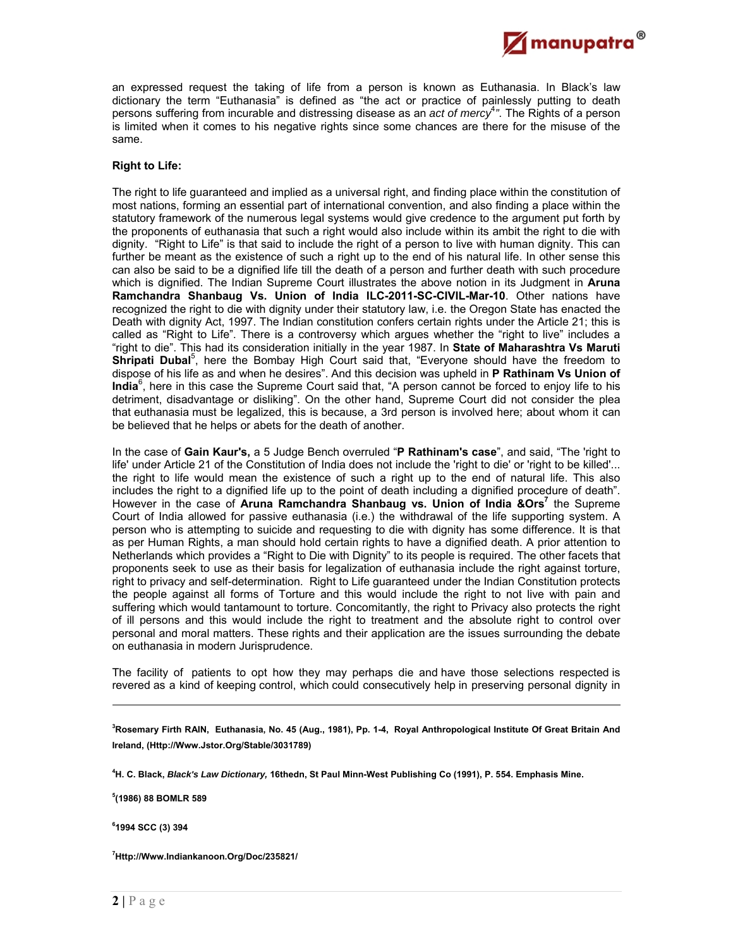an expressed request the taking of life from a person is known as Euthanasia. In Black's law dictionary the term "Euthanasia" is defined as "the act or practice of painlessly putting to death persons suffering from incurable and distressing disease as an *act of mercy*<sup>4</sup> *"*. The Rights of a person is limited when it comes to his negative rights since some chances are there for the misuse of the same.

 $\not\!\!\!\!\nearrow$ manupatra $^\circ$ 

#### **Right to Life:**

The right to life guaranteed and implied as a universal right, and finding place within the constitution of most nations, forming an essential part of international convention, and also finding a place within the statutory framework of the numerous legal systems would give credence to the argument put forth by the proponents of euthanasia that such a right would also include within its ambit the right to die with dignity. "Right to Life" is that said to include the right of a person to live with human dignity. This can further be meant as the existence of such a right up to the end of his natural life. In other sense this can also be said to be a dignified life till the death of a person and further death with such procedure which is dignified. The Indian Supreme Court illustrates the above notion in its Judgment in **Aruna Ramchandra Shanbaug Vs. Union of India ILC-2011-SC-CIVIL-Mar-10**. Other nations have recognized the right to die with dignity under their statutory law, i.e. the Oregon State has enacted the Death with dignity Act, 1997. The Indian constitution confers certain rights under the Article 21; this is called as "Right to Life". There is a controversy which argues whether the "right to live" includes a "right to die". This had its consideration initially in the year 1987. In **State of Maharashtra Vs Maruti**  Shripati Dubal<sup>5</sup>, here the Bombay High Court said that, "Everyone should have the freedom to dispose of his life as and when he desires". And this decision was upheld in **P Rathinam Vs Union of**  India<sup>6</sup>, here in this case the Supreme Court said that, "A person cannot be forced to enjoy life to his detriment, disadvantage or disliking". On the other hand, Supreme Court did not consider the plea that euthanasia must be legalized, this is because, a 3rd person is involved here; about whom it can be believed that he helps or abets for the death of another.

In the case of **Gain Kaur's,** a 5 Judge Bench overruled "**P Rathinam's case**", and said, "The 'right to life' under Article 21 of the Constitution of India does not include the 'right to die' or 'right to be killed'... the right to life would mean the existence of such a right up to the end of natural life. This also includes the right to a dignified life up to the point of death including a dignified procedure of death". However in the case of Aruna Ramchandra Shanbaug vs. Union of India & Ors<sup>7</sup> the Supreme Court of India allowed for passive euthanasia (i.e.) the withdrawal of the life supporting system. A person who is attempting to suicide and requesting to die with dignity has some difference. It is that as per Human Rights, a man should hold certain rights to have a dignified death. A prior attention to Netherlands which provides a "Right to Die with Dignity" to its people is required. The other facets that proponents seek to use as their basis for legalization of euthanasia include the right against torture, right to privacy and self-determination. Right to Life guaranteed under the Indian Constitution protects the people against all forms of Torture and this would include the right to not live with pain and suffering which would tantamount to torture. Concomitantly, the right to Privacy also protects the right of ill persons and this would include the right to treatment and the absolute right to control over personal and moral matters. These rights and their application are the issues surrounding the debate on euthanasia in modern Jurisprudence.

The facility of patients to opt how they may perhaps die and have those selections respected is revered as a kind of keeping control, which could consecutively help in preserving personal dignity in

**3 Rosemary Firth RAIN, Euthanasia, No. 45 (Aug., 1981), Pp. 1-4, Royal Anthropological Institute Of Great Britain And Ireland, (Http://Www.Jstor.Org/Stable/3031789)** 

**4 H. C. Black,** *Black's Law Dictionary,* **16thedn, St Paul Minn-West Publishing Co (1991), P. 554. Emphasis Mine.** 

**5 (1986) 88 BOMLR 589** 

**6 1994 SCC (3) 394** 

-

**7 Http://Www.Indiankanoon.Org/Doc/235821/**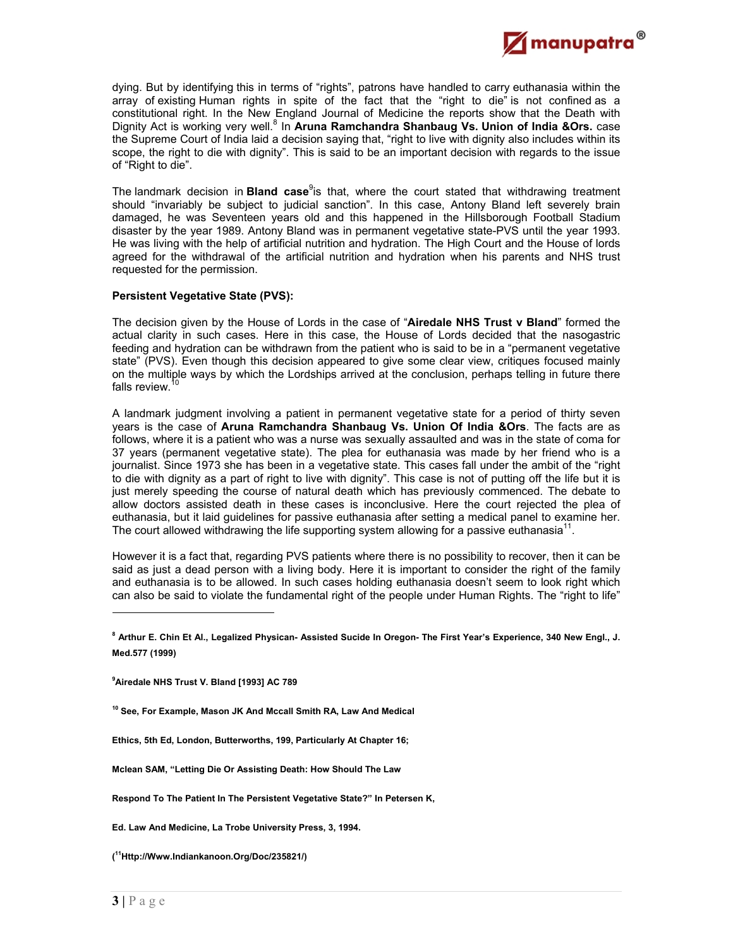

dying. But by identifying this in terms of "rights", patrons have handled to carry euthanasia within the array of existing Human rights in spite of the fact that the "right to die" is not confined as a constitutional right. In the New England Journal of Medicine the reports show that the Death with Dignity Act is working very well.<sup>8</sup> In Aruna Ramchandra Shanbaug Vs. Union of India &Ors. case the Supreme Court of India laid a decision saying that, "right to live with dignity also includes within its scope, the right to die with dignity". This is said to be an important decision with regards to the issue of "Right to die".

The landmark decision in **Bland case**<sup>9</sup>is that, where the court stated that withdrawing treatment should "invariably be subject to judicial sanction". In this case, Antony Bland left severely brain damaged, he was Seventeen years old and this happened in the Hillsborough Football Stadium disaster by the year 1989. Antony Bland was in permanent vegetative state-PVS until the year 1993. He was living with the help of artificial nutrition and hydration. The High Court and the House of lords agreed for the withdrawal of the artificial nutrition and hydration when his parents and NHS trust requested for the permission.

### **Persistent Vegetative State (PVS):**

The decision given by the House of Lords in the case of "**Airedale NHS Trust v Bland**" formed the actual clarity in such cases. Here in this case, the House of Lords decided that the nasogastric feeding and hydration can be withdrawn from the patient who is said to be in a "permanent vegetative state" (PVS). Even though this decision appeared to give some clear view, critiques focused mainly on the multiple ways by which the Lordships arrived at the conclusion, perhaps telling in future there falls review. $1$ 

A landmark judgment involving a patient in permanent vegetative state for a period of thirty seven years is the case of **Aruna Ramchandra Shanbaug Vs. Union Of India &Ors**. The facts are as follows, where it is a patient who was a nurse was sexually assaulted and was in the state of coma for 37 years (permanent vegetative state). The plea for euthanasia was made by her friend who is a journalist. Since 1973 she has been in a vegetative state. This cases fall under the ambit of the "right to die with dignity as a part of right to live with dignity". This case is not of putting off the life but it is just merely speeding the course of natural death which has previously commenced. The debate to allow doctors assisted death in these cases is inconclusive. Here the court rejected the plea of euthanasia, but it laid guidelines for passive euthanasia after setting a medical panel to examine her. The court allowed withdrawing the life supporting system allowing for a passive euthanasia $11$ .

However it is a fact that, regarding PVS patients where there is no possibility to recover, then it can be said as just a dead person with a living body. Here it is important to consider the right of the family and euthanasia is to be allowed. In such cases holding euthanasia doesn't seem to look right which can also be said to violate the fundamental right of the people under Human Rights. The "right to life"

**Ed. Law And Medicine, La Trobe University Press, 3, 1994.** 

**<sup>8</sup> Arthur E. Chin Et Al., Legalized Physican- Assisted Sucide In Oregon- The First Year's Experience, 340 New Engl., J. Med.577 (1999)** 

**<sup>9</sup> Airedale NHS Trust V. Bland [1993] AC 789** 

**<sup>10</sup> See, For Example, Mason JK And Mccall Smith RA, Law And Medical** 

**Ethics, 5th Ed, London, Butterworths, 199, Particularly At Chapter 16;** 

**Mclean SAM, "Letting Die Or Assisting Death: How Should The Law**

**Respond To The Patient In The Persistent Vegetative State?" In Petersen K,** 

**<sup>(</sup> 11Http://Www.Indiankanoon.Org/Doc/235821/)**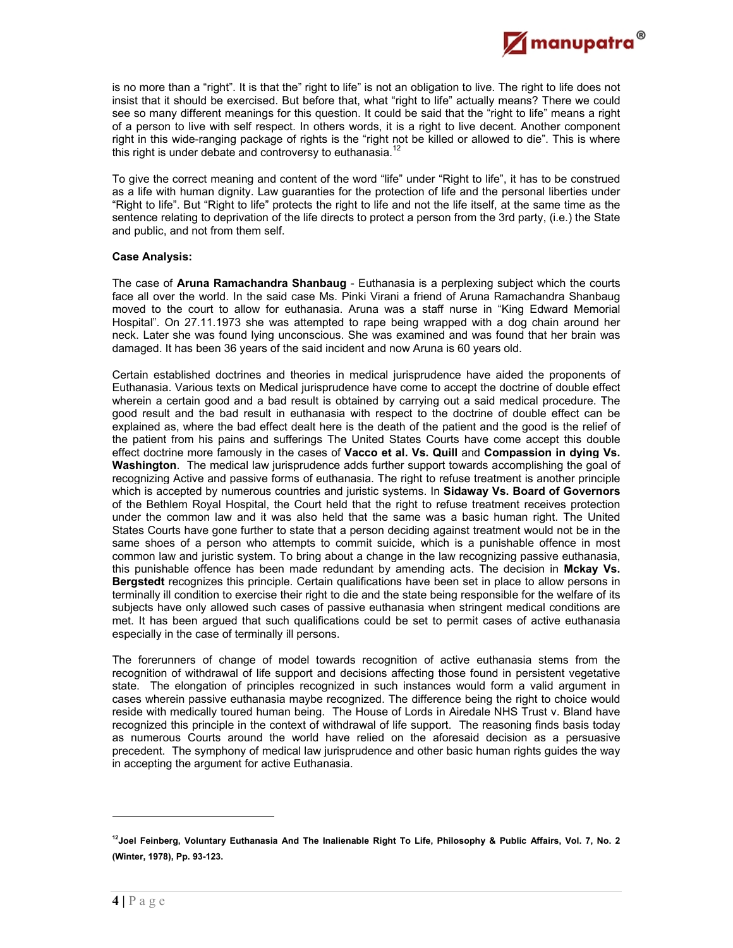

is no more than a "right". It is that the" right to life" is not an obligation to live. The right to life does not insist that it should be exercised. But before that, what "right to life" actually means? There we could see so many different meanings for this question. It could be said that the "right to life" means a right of a person to live with self respect. In others words, it is a right to live decent. Another component right in this wide-ranging package of rights is the "right not be killed or allowed to die". This is where this right is under debate and controversy to euthanasia.<sup>12</sup>

To give the correct meaning and content of the word "life" under "Right to life", it has to be construed as a life with human dignity. Law guaranties for the protection of life and the personal liberties under "Right to life". But "Right to life" protects the right to life and not the life itself, at the same time as the sentence relating to deprivation of the life directs to protect a person from the 3rd party, (i.e.) the State and public, and not from them self.

#### **Case Analysis:**

The case of **Aruna Ramachandra Shanbaug** - Euthanasia is a perplexing subject which the courts face all over the world. In the said case Ms. Pinki Virani a friend of Aruna Ramachandra Shanbaug moved to the court to allow for euthanasia. Aruna was a staff nurse in "King Edward Memorial Hospital". On 27.11.1973 she was attempted to rape being wrapped with a dog chain around her neck. Later she was found lying unconscious. She was examined and was found that her brain was damaged. It has been 36 years of the said incident and now Aruna is 60 years old.

Certain established doctrines and theories in medical jurisprudence have aided the proponents of Euthanasia. Various texts on Medical jurisprudence have come to accept the doctrine of double effect wherein a certain good and a bad result is obtained by carrying out a said medical procedure. The good result and the bad result in euthanasia with respect to the doctrine of double effect can be explained as, where the bad effect dealt here is the death of the patient and the good is the relief of the patient from his pains and sufferings The United States Courts have come accept this double effect doctrine more famously in the cases of **Vacco et al. Vs. Quill** and **Compassion in dying Vs. Washington**. The medical law jurisprudence adds further support towards accomplishing the goal of recognizing Active and passive forms of euthanasia. The right to refuse treatment is another principle which is accepted by numerous countries and juristic systems. In **Sidaway Vs. Board of Governors** of the Bethlem Royal Hospital, the Court held that the right to refuse treatment receives protection under the common law and it was also held that the same was a basic human right. The United States Courts have gone further to state that a person deciding against treatment would not be in the same shoes of a person who attempts to commit suicide, which is a punishable offence in most common law and juristic system. To bring about a change in the law recognizing passive euthanasia, this punishable offence has been made redundant by amending acts. The decision in **Mckay Vs. Bergstedt** recognizes this principle. Certain qualifications have been set in place to allow persons in terminally ill condition to exercise their right to die and the state being responsible for the welfare of its subjects have only allowed such cases of passive euthanasia when stringent medical conditions are met. It has been argued that such qualifications could be set to permit cases of active euthanasia especially in the case of terminally ill persons.

The forerunners of change of model towards recognition of active euthanasia stems from the recognition of withdrawal of life support and decisions affecting those found in persistent vegetative state. The elongation of principles recognized in such instances would form a valid argument in cases wherein passive euthanasia maybe recognized. The difference being the right to choice would reside with medically toured human being. The House of Lords in Airedale NHS Trust v. Bland have recognized this principle in the context of withdrawal of life support. The reasoning finds basis today as numerous Courts around the world have relied on the aforesaid decision as a persuasive precedent. The symphony of medical law jurisprudence and other basic human rights guides the way in accepting the argument for active Euthanasia.

**<sup>12</sup>Joel Feinberg, Voluntary Euthanasia And The Inalienable Right To Life, Philosophy & Public Affairs, Vol. 7, No. 2 (Winter, 1978), Pp. 93-123.**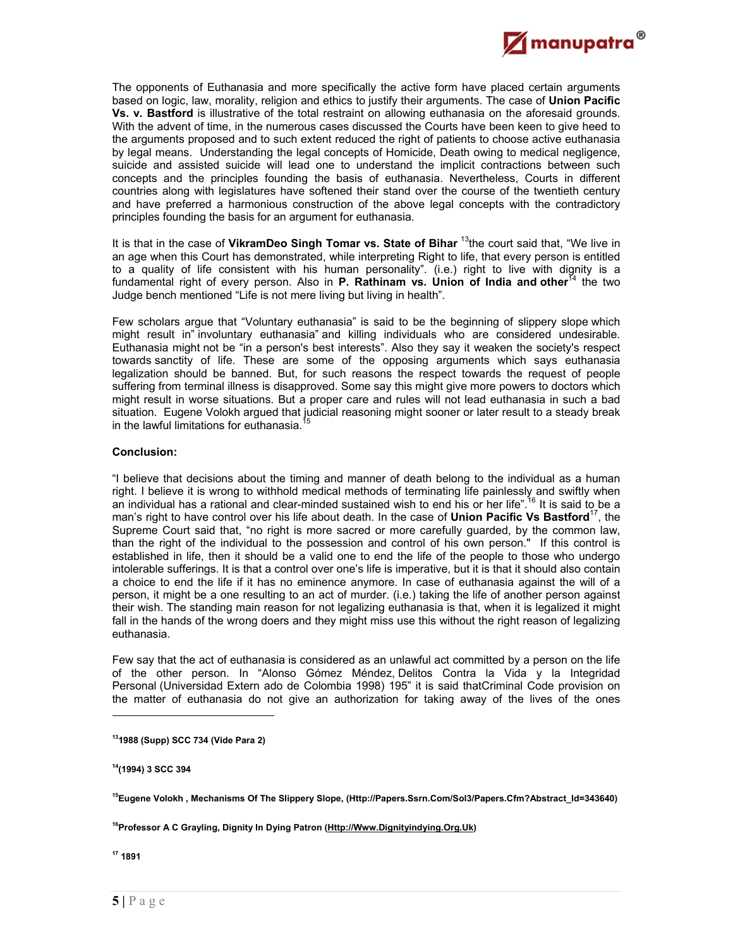

The opponents of Euthanasia and more specifically the active form have placed certain arguments based on logic, law, morality, religion and ethics to justify their arguments. The case of **Union Pacific Vs. v. Bastford** is illustrative of the total restraint on allowing euthanasia on the aforesaid grounds. With the advent of time, in the numerous cases discussed the Courts have been keen to give heed to the arguments proposed and to such extent reduced the right of patients to choose active euthanasia by legal means. Understanding the legal concepts of Homicide, Death owing to medical negligence, suicide and assisted suicide will lead one to understand the implicit contractions between such concepts and the principles founding the basis of euthanasia. Nevertheless, Courts in different countries along with legislatures have softened their stand over the course of the twentieth century and have preferred a harmonious construction of the above legal concepts with the contradictory principles founding the basis for an argument for euthanasia.

It is that in the case of **VikramDeo Singh Tomar vs. State of Bihar** 13the court said that, "We live in an age when this Court has demonstrated, while interpreting Right to life, that every person is entitled to a quality of life consistent with his human personality". (i.e.) right to live with dignity is a fundamental right of every person. Also in **P. Rathinam vs. Union of India and other**<sup>14</sup> the two Judge bench mentioned "Life is not mere living but living in health".

Few scholars argue that "Voluntary euthanasia" is said to be the beginning of slippery slope which might result in" involuntary euthanasia" and killing individuals who are considered undesirable. Euthanasia might not be "in a person's best interests". Also they say it weaken the society's respect towards sanctity of life. These are some of the opposing arguments which says euthanasia legalization should be banned. But, for such reasons the respect towards the request of people suffering from terminal illness is disapproved. Some say this might give more powers to doctors which might result in worse situations. But a proper care and rules will not lead euthanasia in such a bad situation. Eugene Volokh argued that judicial reasoning might sooner or later result to a steady break in the lawful limitations for euthanasia.

### **Conclusion:**

"I believe that decisions about the timing and manner of death belong to the individual as a human right. I believe it is wrong to withhold medical methods of terminating life painlessly and swiftly when an individual has a rational and clear-minded sustained wish to end his or her life".<sup>16</sup> It is said to be a man's right to have control over his life about death. In the case of **Union Pacific Vs Bastford**17, the Supreme Court said that, "no right is more sacred or more carefully guarded, by the common law, than the right of the individual to the possession and control of his own person." If this control is established in life, then it should be a valid one to end the life of the people to those who undergo intolerable sufferings. It is that a control over one's life is imperative, but it is that it should also contain a choice to end the life if it has no eminence anymore. In case of euthanasia against the will of a person, it might be a one resulting to an act of murder. (i.e.) taking the life of another person against their wish. The standing main reason for not legalizing euthanasia is that, when it is legalized it might fall in the hands of the wrong doers and they might miss use this without the right reason of legalizing euthanasia.

Few say that the act of euthanasia is considered as an unlawful act committed by a person on the life of the other person. In "Alonso Gómez Méndez, Delitos Contra la Vida y la Integridad Personal (Universidad Extern ado de Colombia 1998) 195" it is said thatCriminal Code provision on the matter of euthanasia do not give an authorization for taking away of the lives of the ones

**14(1994) 3 SCC 394** 

<sup>16</sup>Professor A C Grayling, Dignity In Dying Patron (Http://Www.Dignityindying.Org.Uk)

**17 1891** 

**<sup>131988 (</sup>Supp) SCC 734 (Vide Para 2)** 

**<sup>15</sup>Eugene Volokh , Mechanisms Of The Slippery Slope, (Http://Papers.Ssrn.Com/Sol3/Papers.Cfm?Abstract\_Id=343640)**